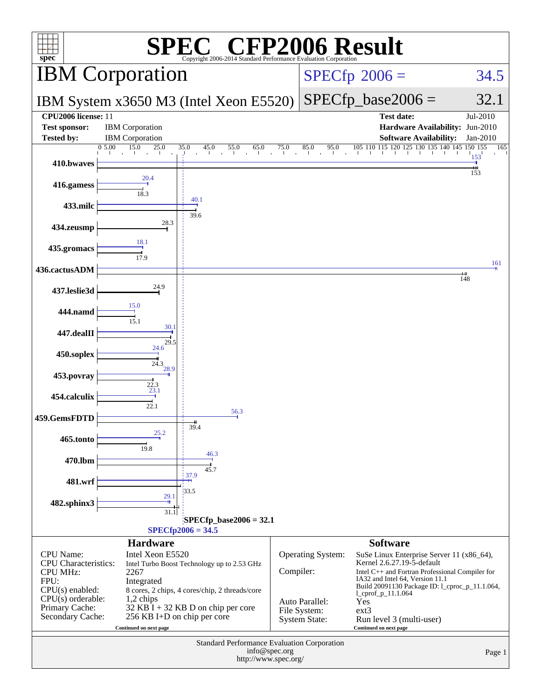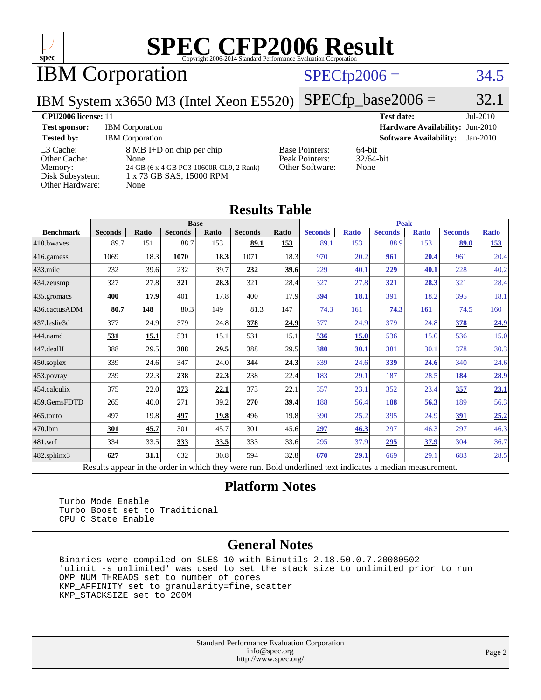

IBM Corporation

#### $SPECfp2006 = 34.5$  $SPECfp2006 = 34.5$

IBM System x3650 M3 (Intel Xeon E5520) [SPECfp\\_base2006 =](http://www.spec.org/auto/cpu2006/Docs/result-fields.html#SPECfpbase2006) 32.1

|                            | $1.11 \times 1.10 \times 1.10 \times 1.10 \times 1.10 \times 1.10 \times 1.10 \times 1.10 \times 1.10 \times 1.10 \times 1.10 \times 1.10 \times 1.10 \times 1.10 \times 1.10 \times 1.10 \times 1.10 \times 1.10 \times 1.10 \times 1.10 \times 1.10 \times 1.10 \times 1.10 \times 1.10 \times 1.10 \times 1.10 \times 1.10 \times 1.10 \times 1.10 \times 1.10 \times 1.10 \times 1.1$ |                                             |                                 |
|----------------------------|-------------------------------------------------------------------------------------------------------------------------------------------------------------------------------------------------------------------------------------------------------------------------------------------------------------------------------------------------------------------------------------------|---------------------------------------------|---------------------------------|
| <b>CPU2006</b> license: 11 |                                                                                                                                                                                                                                                                                                                                                                                           |                                             | $Jul-2010$<br><b>Test date:</b> |
| <b>Test sponsor:</b>       | <b>IBM</b> Corporation                                                                                                                                                                                                                                                                                                                                                                    | <b>Hardware Availability: Jun-2010</b>      |                                 |
| <b>Tested by:</b>          | <b>IBM</b> Corporation                                                                                                                                                                                                                                                                                                                                                                    | <b>Software Availability:</b><br>$Jan-2010$ |                                 |
| L3 Cache:                  | 8 MB I+D on chip per chip                                                                                                                                                                                                                                                                                                                                                                 | <b>Base Pointers:</b>                       | $64$ -bit                       |
| <b>Other Cache:</b>        | <b>None</b>                                                                                                                                                                                                                                                                                                                                                                               | Peak Pointers:                              | $32/64$ -bit                    |
| Memory:                    | 24 GB (6 x 4 GB PC3-10600R CL9, 2 Rank)                                                                                                                                                                                                                                                                                                                                                   | Other Software:                             | None                            |
| Disk Subsystem:            | 1 x 73 GB SAS, 15000 RPM                                                                                                                                                                                                                                                                                                                                                                  |                                             |                                 |
| <b>Other Hardware:</b>     | None                                                                                                                                                                                                                                                                                                                                                                                      |                                             |                                 |

| <b>Results Table</b>   |                                                                                                          |              |                |       |                |       |                |              |                |              |                |              |
|------------------------|----------------------------------------------------------------------------------------------------------|--------------|----------------|-------|----------------|-------|----------------|--------------|----------------|--------------|----------------|--------------|
|                        | <b>Peak</b><br><b>Base</b>                                                                               |              |                |       |                |       |                |              |                |              |                |              |
| <b>Benchmark</b>       | <b>Seconds</b>                                                                                           | <b>Ratio</b> | <b>Seconds</b> | Ratio | <b>Seconds</b> | Ratio | <b>Seconds</b> | <b>Ratio</b> | <b>Seconds</b> | <b>Ratio</b> | <b>Seconds</b> | <b>Ratio</b> |
| 410.bwayes             | 89.7                                                                                                     | 151          | 88.7           | 153   | 89.1           | 153   | 89.1           | 153          | 88.9           | 153          | 89.0           | 153          |
| 416.gamess             | 1069                                                                                                     | 18.3         | 1070           | 18.3  | 1071           | 18.3  | 970            | 20.2         | 961            | 20.4         | 961            | 20.4         |
| $433$ .milc            | 232                                                                                                      | 39.6         | 232            | 39.7  | 232            | 39.6  | 229            | 40.1         | 229            | 40.1         | 228            | 40.2         |
| $434$ . zeusmp         | 327                                                                                                      | 27.8         | 321            | 28.3  | 321            | 28.4  | 327            | 27.8         | 321            | 28.3         | 321            | 28.4         |
| $435.\n$ gromacs       | 400                                                                                                      | 17.9         | 401            | 17.8  | 400            | 17.9  | 394            | 18.1         | 391            | 18.2         | 395            | 18.1         |
| 436.cactusADM          | 80.7                                                                                                     | 148          | 80.3           | 149   | 81.3           | 147   | 74.3           | 161          | 74.3           | 161          | 74.5           | 160          |
| 437.leslie3d           | 377                                                                                                      | 24.9         | 379            | 24.8  | 378            | 24.9  | 377            | 24.9         | 379            | 24.8         | 378            | 24.9         |
| 444.namd               | 531                                                                                                      | 15.1         | 531            | 15.1  | 531            | 15.1  | 536            | 15.0         | 536            | 15.0         | 536            | 15.0         |
| $ 447 \text{.}$ dealII | 388                                                                                                      | 29.5         | 388            | 29.5  | 388            | 29.5  | 380            | 30.1         | 381            | 30.1         | 378            | 30.3         |
| $450$ .soplex          | 339                                                                                                      | 24.6         | 347            | 24.0  | 344            | 24.3  | 339            | 24.6         | 339            | 24.6         | 340            | 24.6         |
| $453$ .povray          | 239                                                                                                      | 22.3         | 238            | 22.3  | 238            | 22.4  | 183            | 29.1         | 187            | 28.5         | 184            | 28.9         |
| 454.calculix           | 375                                                                                                      | 22.0         | 373            | 22.1  | 373            | 22.1  | 357            | 23.1         | 352            | 23.4         | 357            | 23.1         |
| 459.GemsFDTD           | 265                                                                                                      | 40.0         | 271            | 39.2  | 270            | 39.4  | 188            | 56.4         | 188            | 56.3         | 189            | 56.3         |
| $465$ .tonto           | 497                                                                                                      | 19.8         | 497            | 19.8  | 496            | 19.8  | 390            | 25.2         | 395            | 24.9         | 391            | 25.2         |
| 470.1bm                | 301                                                                                                      | 45.7         | 301            | 45.7  | 301            | 45.6  | 297            | 46.3         | 297            | 46.3         | 297            | 46.3         |
| $ 481$ .wrf            | 334                                                                                                      | 33.5         | 333            | 33.5  | 333            | 33.6  | 295            | 37.9         | 295            | 37.9         | 304            | 36.7         |
| $482$ .sphinx $3$      | 627                                                                                                      | 31.1         | 632            | 30.8  | 594            | 32.8  | 670            | 29.1         | 669            | 29.1         | 683            | 28.5         |
|                        | Results appear in the order in which they were run. Bold underlined text indicates a median measurement. |              |                |       |                |       |                |              |                |              |                |              |

#### **[Platform Notes](http://www.spec.org/auto/cpu2006/Docs/result-fields.html#PlatformNotes)**

 Turbo Mode Enable Turbo Boost set to Traditional CPU C State Enable

#### **[General Notes](http://www.spec.org/auto/cpu2006/Docs/result-fields.html#GeneralNotes)**

 Binaries were compiled on SLES 10 with Binutils 2.18.50.0.7.20080502 'ulimit -s unlimited' was used to set the stack size to unlimited prior to run OMP\_NUM\_THREADS set to number of cores KMP\_AFFINITY set to granularity=fine,scatter KMP\_STACKSIZE set to 200M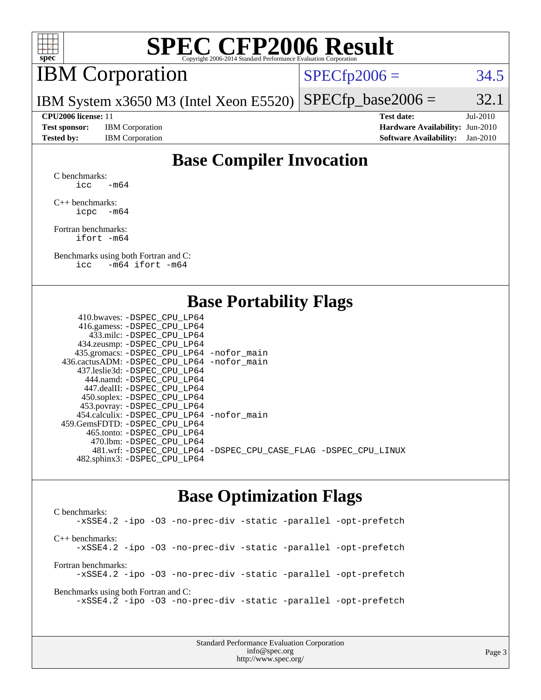

## IBM Corporation

 $SPECTp2006 = 34.5$ 

IBM System x3650 M3 (Intel Xeon E5520)  $SPECTp\_base2006 = 32.1$ 

**[Test sponsor:](http://www.spec.org/auto/cpu2006/Docs/result-fields.html#Testsponsor)** IBM Corporation **[Hardware Availability:](http://www.spec.org/auto/cpu2006/Docs/result-fields.html#HardwareAvailability)** Jun-2010

**[CPU2006 license:](http://www.spec.org/auto/cpu2006/Docs/result-fields.html#CPU2006license)** 11 **[Test date:](http://www.spec.org/auto/cpu2006/Docs/result-fields.html#Testdate)** Jul-2010 **[Tested by:](http://www.spec.org/auto/cpu2006/Docs/result-fields.html#Testedby)** IBM Corporation **[Software Availability:](http://www.spec.org/auto/cpu2006/Docs/result-fields.html#SoftwareAvailability)** Jan-2010

### **[Base Compiler Invocation](http://www.spec.org/auto/cpu2006/Docs/result-fields.html#BaseCompilerInvocation)**

[C benchmarks](http://www.spec.org/auto/cpu2006/Docs/result-fields.html#Cbenchmarks): icc  $-m64$ 

[C++ benchmarks:](http://www.spec.org/auto/cpu2006/Docs/result-fields.html#CXXbenchmarks) [icpc -m64](http://www.spec.org/cpu2006/results/res2010q3/cpu2006-20100719-12559.flags.html#user_CXXbase_intel_icpc_64bit_bedb90c1146cab66620883ef4f41a67e)

[Fortran benchmarks](http://www.spec.org/auto/cpu2006/Docs/result-fields.html#Fortranbenchmarks): [ifort -m64](http://www.spec.org/cpu2006/results/res2010q3/cpu2006-20100719-12559.flags.html#user_FCbase_intel_ifort_64bit_ee9d0fb25645d0210d97eb0527dcc06e)

[Benchmarks using both Fortran and C](http://www.spec.org/auto/cpu2006/Docs/result-fields.html#BenchmarksusingbothFortranandC): [icc -m64](http://www.spec.org/cpu2006/results/res2010q3/cpu2006-20100719-12559.flags.html#user_CC_FCbase_intel_icc_64bit_0b7121f5ab7cfabee23d88897260401c) [ifort -m64](http://www.spec.org/cpu2006/results/res2010q3/cpu2006-20100719-12559.flags.html#user_CC_FCbase_intel_ifort_64bit_ee9d0fb25645d0210d97eb0527dcc06e)

#### **[Base Portability Flags](http://www.spec.org/auto/cpu2006/Docs/result-fields.html#BasePortabilityFlags)**

| 410.bwaves: -DSPEC CPU LP64                |                                                                |
|--------------------------------------------|----------------------------------------------------------------|
| 416.gamess: -DSPEC_CPU_LP64                |                                                                |
| 433.milc: -DSPEC CPU LP64                  |                                                                |
| 434.zeusmp: -DSPEC_CPU_LP64                |                                                                |
| 435.gromacs: -DSPEC_CPU_LP64 -nofor_main   |                                                                |
| 436.cactusADM: -DSPEC CPU LP64 -nofor main |                                                                |
| 437.leslie3d: -DSPEC CPU LP64              |                                                                |
| 444.namd: - DSPEC CPU LP64                 |                                                                |
| 447.dealII: -DSPEC CPU LP64                |                                                                |
| 450.soplex: -DSPEC_CPU_LP64                |                                                                |
| 453.povray: -DSPEC_CPU_LP64                |                                                                |
| 454.calculix: -DSPEC CPU LP64 -nofor main  |                                                                |
| 459.GemsFDTD: -DSPEC CPU LP64              |                                                                |
| 465.tonto: - DSPEC CPU LP64                |                                                                |
| 470.1bm: - DSPEC_CPU LP64                  |                                                                |
|                                            | 481.wrf: -DSPEC_CPU_LP64 -DSPEC_CPU_CASE_FLAG -DSPEC_CPU_LINUX |
| 482.sphinx3: -DSPEC_CPU_LP64               |                                                                |
|                                            |                                                                |

#### **[Base Optimization Flags](http://www.spec.org/auto/cpu2006/Docs/result-fields.html#BaseOptimizationFlags)**

[C benchmarks](http://www.spec.org/auto/cpu2006/Docs/result-fields.html#Cbenchmarks): [-xSSE4.2](http://www.spec.org/cpu2006/results/res2010q3/cpu2006-20100719-12559.flags.html#user_CCbase_f-xSSE42_f91528193cf0b216347adb8b939d4107) [-ipo](http://www.spec.org/cpu2006/results/res2010q3/cpu2006-20100719-12559.flags.html#user_CCbase_f-ipo) [-O3](http://www.spec.org/cpu2006/results/res2010q3/cpu2006-20100719-12559.flags.html#user_CCbase_f-O3) [-no-prec-div](http://www.spec.org/cpu2006/results/res2010q3/cpu2006-20100719-12559.flags.html#user_CCbase_f-no-prec-div) [-static](http://www.spec.org/cpu2006/results/res2010q3/cpu2006-20100719-12559.flags.html#user_CCbase_f-static) [-parallel](http://www.spec.org/cpu2006/results/res2010q3/cpu2006-20100719-12559.flags.html#user_CCbase_f-parallel) [-opt-prefetch](http://www.spec.org/cpu2006/results/res2010q3/cpu2006-20100719-12559.flags.html#user_CCbase_f-opt-prefetch) [C++ benchmarks:](http://www.spec.org/auto/cpu2006/Docs/result-fields.html#CXXbenchmarks) [-xSSE4.2](http://www.spec.org/cpu2006/results/res2010q3/cpu2006-20100719-12559.flags.html#user_CXXbase_f-xSSE42_f91528193cf0b216347adb8b939d4107) [-ipo](http://www.spec.org/cpu2006/results/res2010q3/cpu2006-20100719-12559.flags.html#user_CXXbase_f-ipo) [-O3](http://www.spec.org/cpu2006/results/res2010q3/cpu2006-20100719-12559.flags.html#user_CXXbase_f-O3) [-no-prec-div](http://www.spec.org/cpu2006/results/res2010q3/cpu2006-20100719-12559.flags.html#user_CXXbase_f-no-prec-div) [-static](http://www.spec.org/cpu2006/results/res2010q3/cpu2006-20100719-12559.flags.html#user_CXXbase_f-static) [-parallel](http://www.spec.org/cpu2006/results/res2010q3/cpu2006-20100719-12559.flags.html#user_CXXbase_f-parallel) [-opt-prefetch](http://www.spec.org/cpu2006/results/res2010q3/cpu2006-20100719-12559.flags.html#user_CXXbase_f-opt-prefetch) [Fortran benchmarks](http://www.spec.org/auto/cpu2006/Docs/result-fields.html#Fortranbenchmarks): [-xSSE4.2](http://www.spec.org/cpu2006/results/res2010q3/cpu2006-20100719-12559.flags.html#user_FCbase_f-xSSE42_f91528193cf0b216347adb8b939d4107) [-ipo](http://www.spec.org/cpu2006/results/res2010q3/cpu2006-20100719-12559.flags.html#user_FCbase_f-ipo) [-O3](http://www.spec.org/cpu2006/results/res2010q3/cpu2006-20100719-12559.flags.html#user_FCbase_f-O3) [-no-prec-div](http://www.spec.org/cpu2006/results/res2010q3/cpu2006-20100719-12559.flags.html#user_FCbase_f-no-prec-div) [-static](http://www.spec.org/cpu2006/results/res2010q3/cpu2006-20100719-12559.flags.html#user_FCbase_f-static) [-parallel](http://www.spec.org/cpu2006/results/res2010q3/cpu2006-20100719-12559.flags.html#user_FCbase_f-parallel) [-opt-prefetch](http://www.spec.org/cpu2006/results/res2010q3/cpu2006-20100719-12559.flags.html#user_FCbase_f-opt-prefetch) [Benchmarks using both Fortran and C](http://www.spec.org/auto/cpu2006/Docs/result-fields.html#BenchmarksusingbothFortranandC): [-xSSE4.2](http://www.spec.org/cpu2006/results/res2010q3/cpu2006-20100719-12559.flags.html#user_CC_FCbase_f-xSSE42_f91528193cf0b216347adb8b939d4107) [-ipo](http://www.spec.org/cpu2006/results/res2010q3/cpu2006-20100719-12559.flags.html#user_CC_FCbase_f-ipo) [-O3](http://www.spec.org/cpu2006/results/res2010q3/cpu2006-20100719-12559.flags.html#user_CC_FCbase_f-O3) [-no-prec-div](http://www.spec.org/cpu2006/results/res2010q3/cpu2006-20100719-12559.flags.html#user_CC_FCbase_f-no-prec-div) [-static](http://www.spec.org/cpu2006/results/res2010q3/cpu2006-20100719-12559.flags.html#user_CC_FCbase_f-static) [-parallel](http://www.spec.org/cpu2006/results/res2010q3/cpu2006-20100719-12559.flags.html#user_CC_FCbase_f-parallel) [-opt-prefetch](http://www.spec.org/cpu2006/results/res2010q3/cpu2006-20100719-12559.flags.html#user_CC_FCbase_f-opt-prefetch)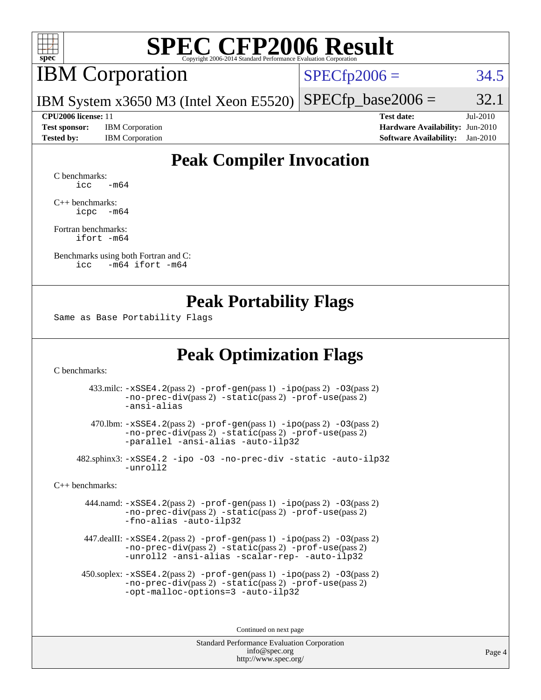

## IBM Corporation

 $SPECfp2006 = 34.5$  $SPECfp2006 = 34.5$ 

IBM System x3650 M3 (Intel Xeon E5520)  $SPECTp\_base2006 = 32.1$ 

**[Test sponsor:](http://www.spec.org/auto/cpu2006/Docs/result-fields.html#Testsponsor)** IBM Corporation **[Hardware Availability:](http://www.spec.org/auto/cpu2006/Docs/result-fields.html#HardwareAvailability)** Jun-2010

**[CPU2006 license:](http://www.spec.org/auto/cpu2006/Docs/result-fields.html#CPU2006license)** 11 **[Test date:](http://www.spec.org/auto/cpu2006/Docs/result-fields.html#Testdate)** Jul-2010 **[Tested by:](http://www.spec.org/auto/cpu2006/Docs/result-fields.html#Testedby)** IBM Corporation **[Software Availability:](http://www.spec.org/auto/cpu2006/Docs/result-fields.html#SoftwareAvailability)** Jan-2010

### **[Peak Compiler Invocation](http://www.spec.org/auto/cpu2006/Docs/result-fields.html#PeakCompilerInvocation)**

[C benchmarks](http://www.spec.org/auto/cpu2006/Docs/result-fields.html#Cbenchmarks):  $\text{icc}$   $-\text{m64}$ 

[C++ benchmarks:](http://www.spec.org/auto/cpu2006/Docs/result-fields.html#CXXbenchmarks) [icpc -m64](http://www.spec.org/cpu2006/results/res2010q3/cpu2006-20100719-12559.flags.html#user_CXXpeak_intel_icpc_64bit_bedb90c1146cab66620883ef4f41a67e)

[Fortran benchmarks](http://www.spec.org/auto/cpu2006/Docs/result-fields.html#Fortranbenchmarks): [ifort -m64](http://www.spec.org/cpu2006/results/res2010q3/cpu2006-20100719-12559.flags.html#user_FCpeak_intel_ifort_64bit_ee9d0fb25645d0210d97eb0527dcc06e)

[Benchmarks using both Fortran and C](http://www.spec.org/auto/cpu2006/Docs/result-fields.html#BenchmarksusingbothFortranandC): [icc -m64](http://www.spec.org/cpu2006/results/res2010q3/cpu2006-20100719-12559.flags.html#user_CC_FCpeak_intel_icc_64bit_0b7121f5ab7cfabee23d88897260401c) [ifort -m64](http://www.spec.org/cpu2006/results/res2010q3/cpu2006-20100719-12559.flags.html#user_CC_FCpeak_intel_ifort_64bit_ee9d0fb25645d0210d97eb0527dcc06e)

#### **[Peak Portability Flags](http://www.spec.org/auto/cpu2006/Docs/result-fields.html#PeakPortabilityFlags)**

Same as Base Portability Flags

### **[Peak Optimization Flags](http://www.spec.org/auto/cpu2006/Docs/result-fields.html#PeakOptimizationFlags)**

[C benchmarks](http://www.spec.org/auto/cpu2006/Docs/result-fields.html#Cbenchmarks):

 433.milc: [-xSSE4.2](http://www.spec.org/cpu2006/results/res2010q3/cpu2006-20100719-12559.flags.html#user_peakPASS2_CFLAGSPASS2_LDFLAGS433_milc_f-xSSE42_f91528193cf0b216347adb8b939d4107)(pass 2) [-prof-gen](http://www.spec.org/cpu2006/results/res2010q3/cpu2006-20100719-12559.flags.html#user_peakPASS1_CFLAGSPASS1_LDFLAGS433_milc_prof_gen_e43856698f6ca7b7e442dfd80e94a8fc)(pass 1) [-ipo](http://www.spec.org/cpu2006/results/res2010q3/cpu2006-20100719-12559.flags.html#user_peakPASS2_CFLAGSPASS2_LDFLAGS433_milc_f-ipo)(pass 2) [-O3](http://www.spec.org/cpu2006/results/res2010q3/cpu2006-20100719-12559.flags.html#user_peakPASS2_CFLAGSPASS2_LDFLAGS433_milc_f-O3)(pass 2) [-no-prec-div](http://www.spec.org/cpu2006/results/res2010q3/cpu2006-20100719-12559.flags.html#user_peakPASS2_CFLAGSPASS2_LDFLAGS433_milc_f-no-prec-div)(pass 2) [-static](http://www.spec.org/cpu2006/results/res2010q3/cpu2006-20100719-12559.flags.html#user_peakPASS2_CFLAGSPASS2_LDFLAGS433_milc_f-static)(pass 2) [-prof-use](http://www.spec.org/cpu2006/results/res2010q3/cpu2006-20100719-12559.flags.html#user_peakPASS2_CFLAGSPASS2_LDFLAGS433_milc_prof_use_bccf7792157ff70d64e32fe3e1250b55)(pass 2) [-ansi-alias](http://www.spec.org/cpu2006/results/res2010q3/cpu2006-20100719-12559.flags.html#user_peakOPTIMIZE433_milc_f-ansi-alias)

 470.lbm: [-xSSE4.2](http://www.spec.org/cpu2006/results/res2010q3/cpu2006-20100719-12559.flags.html#user_peakPASS2_CFLAGSPASS2_LDFLAGS470_lbm_f-xSSE42_f91528193cf0b216347adb8b939d4107)(pass 2) [-prof-gen](http://www.spec.org/cpu2006/results/res2010q3/cpu2006-20100719-12559.flags.html#user_peakPASS1_CFLAGSPASS1_LDFLAGS470_lbm_prof_gen_e43856698f6ca7b7e442dfd80e94a8fc)(pass 1) [-ipo](http://www.spec.org/cpu2006/results/res2010q3/cpu2006-20100719-12559.flags.html#user_peakPASS2_CFLAGSPASS2_LDFLAGS470_lbm_f-ipo)(pass 2) [-O3](http://www.spec.org/cpu2006/results/res2010q3/cpu2006-20100719-12559.flags.html#user_peakPASS2_CFLAGSPASS2_LDFLAGS470_lbm_f-O3)(pass 2) [-no-prec-div](http://www.spec.org/cpu2006/results/res2010q3/cpu2006-20100719-12559.flags.html#user_peakPASS2_CFLAGSPASS2_LDFLAGS470_lbm_f-no-prec-div)(pass 2) [-static](http://www.spec.org/cpu2006/results/res2010q3/cpu2006-20100719-12559.flags.html#user_peakPASS2_CFLAGSPASS2_LDFLAGS470_lbm_f-static)(pass 2) [-prof-use](http://www.spec.org/cpu2006/results/res2010q3/cpu2006-20100719-12559.flags.html#user_peakPASS2_CFLAGSPASS2_LDFLAGS470_lbm_prof_use_bccf7792157ff70d64e32fe3e1250b55)(pass 2) [-parallel](http://www.spec.org/cpu2006/results/res2010q3/cpu2006-20100719-12559.flags.html#user_peakOPTIMIZE470_lbm_f-parallel) [-ansi-alias](http://www.spec.org/cpu2006/results/res2010q3/cpu2006-20100719-12559.flags.html#user_peakOPTIMIZE470_lbm_f-ansi-alias) [-auto-ilp32](http://www.spec.org/cpu2006/results/res2010q3/cpu2006-20100719-12559.flags.html#user_peakCOPTIMIZE470_lbm_f-auto-ilp32)

 482.sphinx3: [-xSSE4.2](http://www.spec.org/cpu2006/results/res2010q3/cpu2006-20100719-12559.flags.html#user_peakOPTIMIZE482_sphinx3_f-xSSE42_f91528193cf0b216347adb8b939d4107) [-ipo](http://www.spec.org/cpu2006/results/res2010q3/cpu2006-20100719-12559.flags.html#user_peakOPTIMIZE482_sphinx3_f-ipo) [-O3](http://www.spec.org/cpu2006/results/res2010q3/cpu2006-20100719-12559.flags.html#user_peakOPTIMIZE482_sphinx3_f-O3) [-no-prec-div](http://www.spec.org/cpu2006/results/res2010q3/cpu2006-20100719-12559.flags.html#user_peakOPTIMIZE482_sphinx3_f-no-prec-div) [-static](http://www.spec.org/cpu2006/results/res2010q3/cpu2006-20100719-12559.flags.html#user_peakOPTIMIZE482_sphinx3_f-static) [-auto-ilp32](http://www.spec.org/cpu2006/results/res2010q3/cpu2006-20100719-12559.flags.html#user_peakCOPTIMIZE482_sphinx3_f-auto-ilp32) [-unroll2](http://www.spec.org/cpu2006/results/res2010q3/cpu2006-20100719-12559.flags.html#user_peakCOPTIMIZE482_sphinx3_f-unroll_784dae83bebfb236979b41d2422d7ec2)

[C++ benchmarks:](http://www.spec.org/auto/cpu2006/Docs/result-fields.html#CXXbenchmarks)

 444.namd: [-xSSE4.2](http://www.spec.org/cpu2006/results/res2010q3/cpu2006-20100719-12559.flags.html#user_peakPASS2_CXXFLAGSPASS2_LDFLAGS444_namd_f-xSSE42_f91528193cf0b216347adb8b939d4107)(pass 2) [-prof-gen](http://www.spec.org/cpu2006/results/res2010q3/cpu2006-20100719-12559.flags.html#user_peakPASS1_CXXFLAGSPASS1_LDFLAGS444_namd_prof_gen_e43856698f6ca7b7e442dfd80e94a8fc)(pass 1) [-ipo](http://www.spec.org/cpu2006/results/res2010q3/cpu2006-20100719-12559.flags.html#user_peakPASS2_CXXFLAGSPASS2_LDFLAGS444_namd_f-ipo)(pass 2) [-O3](http://www.spec.org/cpu2006/results/res2010q3/cpu2006-20100719-12559.flags.html#user_peakPASS2_CXXFLAGSPASS2_LDFLAGS444_namd_f-O3)(pass 2) [-no-prec-div](http://www.spec.org/cpu2006/results/res2010q3/cpu2006-20100719-12559.flags.html#user_peakPASS2_CXXFLAGSPASS2_LDFLAGS444_namd_f-no-prec-div)(pass 2) [-static](http://www.spec.org/cpu2006/results/res2010q3/cpu2006-20100719-12559.flags.html#user_peakPASS2_CXXFLAGSPASS2_LDFLAGS444_namd_f-static)(pass 2) [-prof-use](http://www.spec.org/cpu2006/results/res2010q3/cpu2006-20100719-12559.flags.html#user_peakPASS2_CXXFLAGSPASS2_LDFLAGS444_namd_prof_use_bccf7792157ff70d64e32fe3e1250b55)(pass 2) [-fno-alias](http://www.spec.org/cpu2006/results/res2010q3/cpu2006-20100719-12559.flags.html#user_peakOPTIMIZE444_namd_f-no-alias_694e77f6c5a51e658e82ccff53a9e63a) [-auto-ilp32](http://www.spec.org/cpu2006/results/res2010q3/cpu2006-20100719-12559.flags.html#user_peakCXXOPTIMIZE444_namd_f-auto-ilp32)

 447.dealII: [-xSSE4.2](http://www.spec.org/cpu2006/results/res2010q3/cpu2006-20100719-12559.flags.html#user_peakPASS2_CXXFLAGSPASS2_LDFLAGS447_dealII_f-xSSE42_f91528193cf0b216347adb8b939d4107)(pass 2) [-prof-gen](http://www.spec.org/cpu2006/results/res2010q3/cpu2006-20100719-12559.flags.html#user_peakPASS1_CXXFLAGSPASS1_LDFLAGS447_dealII_prof_gen_e43856698f6ca7b7e442dfd80e94a8fc)(pass 1) [-ipo](http://www.spec.org/cpu2006/results/res2010q3/cpu2006-20100719-12559.flags.html#user_peakPASS2_CXXFLAGSPASS2_LDFLAGS447_dealII_f-ipo)(pass 2) [-O3](http://www.spec.org/cpu2006/results/res2010q3/cpu2006-20100719-12559.flags.html#user_peakPASS2_CXXFLAGSPASS2_LDFLAGS447_dealII_f-O3)(pass 2) [-no-prec-div](http://www.spec.org/cpu2006/results/res2010q3/cpu2006-20100719-12559.flags.html#user_peakPASS2_CXXFLAGSPASS2_LDFLAGS447_dealII_f-no-prec-div)(pass 2) [-static](http://www.spec.org/cpu2006/results/res2010q3/cpu2006-20100719-12559.flags.html#user_peakPASS2_CXXFLAGSPASS2_LDFLAGS447_dealII_f-static)(pass 2) [-prof-use](http://www.spec.org/cpu2006/results/res2010q3/cpu2006-20100719-12559.flags.html#user_peakPASS2_CXXFLAGSPASS2_LDFLAGS447_dealII_prof_use_bccf7792157ff70d64e32fe3e1250b55)(pass 2) [-unroll2](http://www.spec.org/cpu2006/results/res2010q3/cpu2006-20100719-12559.flags.html#user_peakOPTIMIZE447_dealII_f-unroll_784dae83bebfb236979b41d2422d7ec2) [-ansi-alias](http://www.spec.org/cpu2006/results/res2010q3/cpu2006-20100719-12559.flags.html#user_peakOPTIMIZE447_dealII_f-ansi-alias) [-scalar-rep-](http://www.spec.org/cpu2006/results/res2010q3/cpu2006-20100719-12559.flags.html#user_peakOPTIMIZE447_dealII_f-disablescalarrep_abbcad04450fb118e4809c81d83c8a1d) [-auto-ilp32](http://www.spec.org/cpu2006/results/res2010q3/cpu2006-20100719-12559.flags.html#user_peakCXXOPTIMIZE447_dealII_f-auto-ilp32)

 450.soplex: [-xSSE4.2](http://www.spec.org/cpu2006/results/res2010q3/cpu2006-20100719-12559.flags.html#user_peakPASS2_CXXFLAGSPASS2_LDFLAGS450_soplex_f-xSSE42_f91528193cf0b216347adb8b939d4107)(pass 2) [-prof-gen](http://www.spec.org/cpu2006/results/res2010q3/cpu2006-20100719-12559.flags.html#user_peakPASS1_CXXFLAGSPASS1_LDFLAGS450_soplex_prof_gen_e43856698f6ca7b7e442dfd80e94a8fc)(pass 1) [-ipo](http://www.spec.org/cpu2006/results/res2010q3/cpu2006-20100719-12559.flags.html#user_peakPASS2_CXXFLAGSPASS2_LDFLAGS450_soplex_f-ipo)(pass 2) [-O3](http://www.spec.org/cpu2006/results/res2010q3/cpu2006-20100719-12559.flags.html#user_peakPASS2_CXXFLAGSPASS2_LDFLAGS450_soplex_f-O3)(pass 2) [-no-prec-div](http://www.spec.org/cpu2006/results/res2010q3/cpu2006-20100719-12559.flags.html#user_peakPASS2_CXXFLAGSPASS2_LDFLAGS450_soplex_f-no-prec-div)(pass 2) [-static](http://www.spec.org/cpu2006/results/res2010q3/cpu2006-20100719-12559.flags.html#user_peakPASS2_CXXFLAGSPASS2_LDFLAGS450_soplex_f-static)(pass 2) [-prof-use](http://www.spec.org/cpu2006/results/res2010q3/cpu2006-20100719-12559.flags.html#user_peakPASS2_CXXFLAGSPASS2_LDFLAGS450_soplex_prof_use_bccf7792157ff70d64e32fe3e1250b55)(pass 2) [-opt-malloc-options=3](http://www.spec.org/cpu2006/results/res2010q3/cpu2006-20100719-12559.flags.html#user_peakOPTIMIZE450_soplex_f-opt-malloc-options_13ab9b803cf986b4ee62f0a5998c2238) [-auto-ilp32](http://www.spec.org/cpu2006/results/res2010q3/cpu2006-20100719-12559.flags.html#user_peakCXXOPTIMIZE450_soplex_f-auto-ilp32)

Continued on next page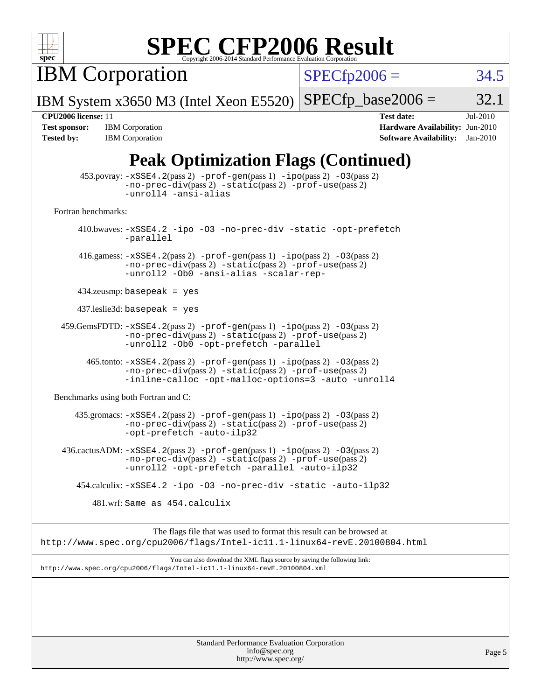

**IBM Corporation** 

 $SPECfp2006 = 34.5$  $SPECfp2006 = 34.5$ 

Page 5

IBM System x3650 M3 (Intel Xeon E5520)  $SPECTp\_base2006 = 32.1$ 

**[Test sponsor:](http://www.spec.org/auto/cpu2006/Docs/result-fields.html#Testsponsor)** IBM Corporation **[Hardware Availability:](http://www.spec.org/auto/cpu2006/Docs/result-fields.html#HardwareAvailability)** Jun-2010 **[Tested by:](http://www.spec.org/auto/cpu2006/Docs/result-fields.html#Testedby)** IBM Corporation **[Software Availability:](http://www.spec.org/auto/cpu2006/Docs/result-fields.html#SoftwareAvailability)** Jan-2010

**[CPU2006 license:](http://www.spec.org/auto/cpu2006/Docs/result-fields.html#CPU2006license)** 11 **[Test date:](http://www.spec.org/auto/cpu2006/Docs/result-fields.html#Testdate)** Jul-2010

### **[Peak Optimization Flags \(Continued\)](http://www.spec.org/auto/cpu2006/Docs/result-fields.html#PeakOptimizationFlags)**

|                                      | $453.$ povray: $-xSSE4$ . $2(pass 2)$ -prof-gen $(pass 1)$ -ipo $(pass 2)$ -03 $(pass 2)$<br>-no-prec-div(pass 2) -static(pass 2) -prof-use(pass 2)<br>-unroll4 -ansi-alias               |
|--------------------------------------|-------------------------------------------------------------------------------------------------------------------------------------------------------------------------------------------|
| Fortran benchmarks:                  |                                                                                                                                                                                           |
|                                      | 410.bwaves: -xSSE4.2 -ipo -03 -no-prec-div -static -opt-prefetch<br>-parallel                                                                                                             |
|                                      | 416.gamess: $-xSSE4$ . 2(pass 2) $-prof-gen(pass 1) -ipo(pass 2) -O3(pass 2)$<br>-no-prec-div(pass 2) -static(pass 2) -prof-use(pass 2)<br>-unroll2 -0b0 -ansi-alias -scalar-rep-         |
| $434$ .zeusmp: basepeak = yes        |                                                                                                                                                                                           |
| $437$ .leslie3d: basepeak = yes      |                                                                                                                                                                                           |
|                                      | $459.GemsFDTD: -xSSE4.2(pass 2) -prof-gen(pass 1) -ipo(pass 2) -03(pass 2)$<br>-no-prec-div(pass 2) -static(pass 2) -prof-use(pass 2)<br>-unroll2 -Ob0 -opt-prefetch -parallel            |
|                                      | 465.tonto: -xSSE4.2(pass 2) -prof-gen(pass 1) -ipo(pass 2) -03(pass 2)<br>$-no-prec-div(pass 2) -static(pass 2) -prof-use(pass 2)$<br>-inline-calloc -opt-malloc-options=3 -auto -unroll4 |
| Benchmarks using both Fortran and C: |                                                                                                                                                                                           |
|                                      | 435.gromacs: -xSSE4.2(pass 2) -prof-gen(pass 1) -ipo(pass 2) -03(pass 2)<br>-no-prec-div(pass 2) -static(pass 2) -prof-use(pass 2)<br>-opt-prefetch -auto-ilp32                           |
|                                      | $436.cactusADM: -xSSE4.2(pass 2) -prof-gen(pass 1) -ipo(pass 2) -03(pass 2)$<br>-no-prec-div(pass 2) -static(pass 2) -prof-use(pass 2)<br>-unroll2 -opt-prefetch -parallel -auto-ilp32    |
|                                      | 454.calculix: -xSSE4.2 -ipo -03 -no-prec-div -static -auto-ilp32                                                                                                                          |
|                                      | 481.wrf: Same as 454.calculix                                                                                                                                                             |
|                                      | The flags file that was used to format this result can be browsed at<br>http://www.spec.org/cpu2006/flags/Intel-ic11.1-linux64-revE.20100804.html                                         |
|                                      | You can also download the XML flags source by saving the following link:<br>http://www.spec.org/cpu2006/flags/Intel-icl1.1-linux64-revE.20100804.xml                                      |
|                                      |                                                                                                                                                                                           |
|                                      |                                                                                                                                                                                           |
|                                      |                                                                                                                                                                                           |
|                                      | Standard Performance Evaluation Corporation                                                                                                                                               |

[info@spec.org](mailto:info@spec.org) <http://www.spec.org/>